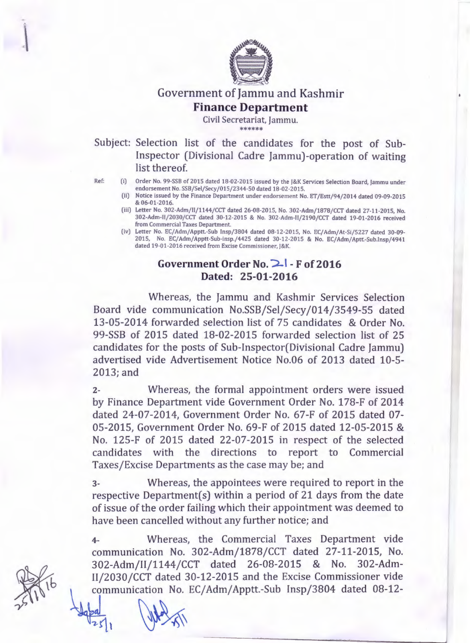

# Government of Jammu and Kashmir **Finance Department**

Civil Secretariat, Jammu. \*\*\*\*\*\*

Subject: Selection list of the candidates for the post of Sub-Inspector (Divisional Cadre Jammu)-operation of waiting list thereof.

- Ref: (i) Order No. 99-SSB of 2015 dated 18-02-2015 issued by the j&K Services Selection Board, Jammu under endorsement No. SSB/Sel/Secy/015/2344-50 dated 18-02-2015.
	- (ii) Notice issued by the Finance Department under endorsement No. ET /Estt/94/2014 dated 09-09-2015 & 06-01-2016.
	- (iii) Letter No. 302-Adm/II/1144/CCT dated 26-08-2015, No. 302-Adm/1878/CCT dated 27-11-2015, No. 302-Adm-II/2030/CCT dated 30-12-2015 & No. 302-Adm-11/2190/CCT dated 19-01-2016 received from Commercial Taxes Department.
	- (iv) Letter No. EC/Adm/Apptt.-Sub Insp/3804 dated 08-12-2015, No. EC/Adm/At-Si/5227 dated 30-09-2015, No. EC/Adm/Apptt-Sub-insp./4425 dated 30-12-2015 & No. EC/Adm/Aptt.-Sub.lnsp/4941 dated 19-01-2016 received from Excise Commissioner, J&K.

# **Government Order No. 2. | - F of 2016 Dated: 25-01-2016**

Whereas, the Jammu and Kashmir Services Selection Board vide communication No.SSB/Sel/Secy /014/3549-55 dated 13-05-2014 forwarded selection list of 75 candidates & Order No. 99-SSB of 2015 dated 18-02-2015 forwarded selection list of 25 candidates for the posts of Sub-Inspector(Divisional Cadre Jammu) advertised vide Advertisement Notice No.06 of 2013 dated 10-5- 2013; and

z- Whereas, the formal appointment orders were issued by Finance Department vide Government Order No. 178-F of 2014 dated 24-07-2014, Government Order No. 67-F of 2015 dated 07- 05-2015, Government Order No. 69-F of 2015 dated 12-05-2015 & No. 125-F of 2015 dated 22-07-2015 in respect of the selected candidates with the directions to report to Commercial Taxes/Excise Departments as the case may be; and

3- Whereas, the appointees were required to report in the respective Department( $s$ ) within a period of 21 days from the date of issue of the order failing which their appointment was deemed to have been cancelled without any further notice; and

4- Whereas, the Commercial Taxes Department vide communication No. 302-Adm/1878/CCT dated 27-11-2015, No. 302-Adm/II/1144/CCT dated 26-08-2015 & No. 302-Adm-II/2030/CCT dated 30-12-2015 and the Excise Commissioner vide communication No. EC/Adm/Apptt.-Sub Insp/3804 dated 08-12-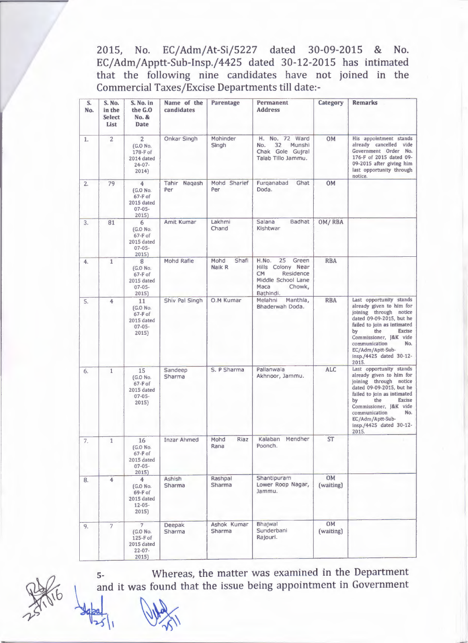2015, No. EC/Adm/At-Si/5227 dated 30-09-2015 & No. EC/ Adm/ Apptt-Sub-Insp./4425 dated 30-12-2015 has intimated that the following nine candidates have not joined in the Commercial Taxes/Excise Departments till date:-

| S.<br>No. | S. No.<br>in the<br><b>Select</b><br>List | S. No. in<br>the G.O<br>No. &<br><b>Date</b>                                   | Name of the<br>candidates | Parentage               | Permanent<br><b>Address</b>                                                                                              | Category               | <b>Remarks</b>                                                                                                                                                                                                                                                                   |
|-----------|-------------------------------------------|--------------------------------------------------------------------------------|---------------------------|-------------------------|--------------------------------------------------------------------------------------------------------------------------|------------------------|----------------------------------------------------------------------------------------------------------------------------------------------------------------------------------------------------------------------------------------------------------------------------------|
| 1.        | $\overline{2}$                            | $\overline{2}$<br>(G.O No.<br>178-F of<br>2014 dated<br>$24 - 07 -$<br>2014)   | Onkar Singh               | Mohinder<br>Singh       | H. No. 72 Ward<br>Munshi<br>32<br>No.<br>Chak Gole Gujral<br>Talab Tillo Jammu.                                          | <b>OM</b>              | His appointment stands<br>already cancelled vide<br>Government Order No.<br>176-F of 2015 dated 09-<br>09-2015 after giving him<br>last opportunity through<br>notice.                                                                                                           |
| 2.        | 79                                        | 4<br>(G.O No.<br>$67-F$ of<br>2015 dated<br>$07 - 05 -$<br>2015)               | Tahir Naqash<br>Per       | Mohd Sharief<br>Per     | Furganabad<br>Ghat<br>Doda.                                                                                              | 0M                     |                                                                                                                                                                                                                                                                                  |
| 3.        | 81                                        | 6<br>(G.O No.<br>$67-F$ of<br>2015 dated<br>$07 - 05 -$<br>2015                | Amit Kumar                | Lakhmi<br>Chand         | Badhat<br>Salana<br>Kishtwar                                                                                             | OM/RBA                 |                                                                                                                                                                                                                                                                                  |
| 4.        | $\mathbf{1}$                              | 8<br>(G.O No.<br>$67-F$ of<br>2015 dated<br>$07 - 05 -$<br>2015)               | Mohd Rafie                | Mohd<br>Shafi<br>Naik R | H.No.<br>25<br>Green<br>Hills Colony Near<br><b>CM</b><br>Residence<br>Middle School Lane<br>Maca<br>Chowk,<br>Bathindi. | <b>RBA</b>             |                                                                                                                                                                                                                                                                                  |
| 5.        | 4                                         | 11<br>[G.O No.<br>$67-F$ of<br>2015 dated<br>$07 - 05 -$<br>2015)              | Shiv Pal Singh            | O.M Kumar               | Melahni<br>Manthla,<br>Bhaderwah Doda.                                                                                   | <b>RBA</b>             | Last opportunity stands<br>already given to him for<br>joining through notice<br>dated 09-09-2015, but he<br>failed to join as intimated<br><b>Excise</b><br>by<br>the<br>Commissioner, J&K vide<br>communication<br>No.<br>EC/Adm/Aptt-Sub-<br>insp./4425 dated 30-12-<br>2015. |
| 6.        | $\mathbf{1}$                              | 15<br>(G.O No.<br>$67-F$ of<br>2015 dated<br>$07 - 05 -$<br>2015)              | Sandeep<br>Sharma         | S. P Sharma             | Pallanwala<br>Akhnoor, Jammu.                                                                                            | <b>ALC</b>             | Last opportunity stands<br>already given to him for<br>joining through notice<br>dated 09-09-2015, but he<br>failed to join as intimated<br>by<br>the<br><b>Excise</b><br>Commissioner, J&K vide<br>No.<br>communication<br>EC/Adm/Aptt-Sub-<br>insp./4425 dated 30-12-<br>2015. |
| 7.        | 1                                         | 16<br>(G.O No.<br>$67-F$ of<br>2015 dated<br>$07 - 05 -$<br>2015               | <b>Inzar Ahmed</b>        | Mohd<br>Riaz<br>Rana    | Kalaban Mendher<br>Poonch.                                                                                               | <b>ST</b>              |                                                                                                                                                                                                                                                                                  |
| 8.        | $\overline{4}$                            | 4<br>(G.O No.<br>69-F of<br>2015 dated<br>$12 - 05 -$<br>2015)                 | Ashish<br>Sharma          | Rashpal<br>Sharma       | Shantipuram<br>Lower Roop Nagar,<br>Jammu.                                                                               | <b>OM</b><br>(waiting) |                                                                                                                                                                                                                                                                                  |
| 9.        | $\overline{7}$                            | $\overline{7}$<br>(G.O No.<br>$125-F$ of<br>2015 dated<br>$22 - 07 -$<br>2015) | Deepak<br>Sharma          | Ashok Kumar<br>Sharma   | Bhajwal<br>Sunderbani<br>Rajouri.                                                                                        | <b>OM</b><br>(waiting) |                                                                                                                                                                                                                                                                                  |



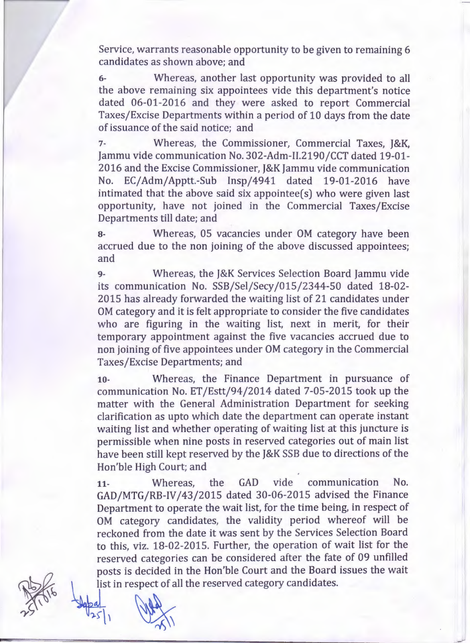Service, warrants reasonable opportunity to be given to remaining 6 candidates as shown above; and

6- Whereas, another last opportunity was provided to all the above remaining six appointees vide this department's notice dated 06-01-2016 and they were asked to report Commercial Taxes/Excise Departments within a period of 10 days from the date of issuance of the said notice; and

7- Whereas, the Commissioner, Commercial Taxes, J&K, Jammu vide communication No. 302-Adm-11.2190/CCT dated 19-01- 2016 and the Excise Commissioner, J&K Jammu vide communication No. EC/Adm/Apptt.-Sub Insp/4941 dated 19-01-2016 have intimated that the above said six appointee $(s)$  who were given last opportunity, have not joined in the Commercial Taxes/Excise Departments till date; and

8- Whereas, OS vacancies under OM category have been accrued due to the non joining of the above discussed appointees; and

9- Whereas, the J&K Services Selection Board Jammu vide its communication No. SSB/Sel/Secy /015/2344-50 dated 18-02- 2015 has already forwarded the waiting list of 21 candidates under OM category and it is felt appropriate to consider the five candidates who are figuring in the waiting list, next in merit, for their temporary appointment against the five vacancies accrued due to non joining of five appointees under OM category in the Commercial Taxes/Excise Departments; and

10- Whereas, the Finance Department in pursuance of communication No. ET /Estt/94/2014 dated 7-05-2015 took up the matter with the General Administration Department for seeking clarification as upto which date the department can operate instant waiting list and whether operating of waiting list at this juncture is permissible when nine posts in reserved categories out of main list have been still kept reserved by the J&K SSB due to directions of the Hon'ble High Court; and

11- Whereas, the GAD vide communication No. GAD/MTG/RB-IV /43/2015 dated 30-06-2015 advised the Finance Department to operate the wait list, for the time being, in respect of OM category candidates, the validity period whereof will be reckoned from the date it was sent by the Services Selection Board to this, viz. 18-02-2015. Further, the operation of wait list for the reserved categories can be considered after the fate of 09 unfilled posts is decided in the Hon'ble Court and the Board issues the wait list in respect of all the reserved category candidates.

--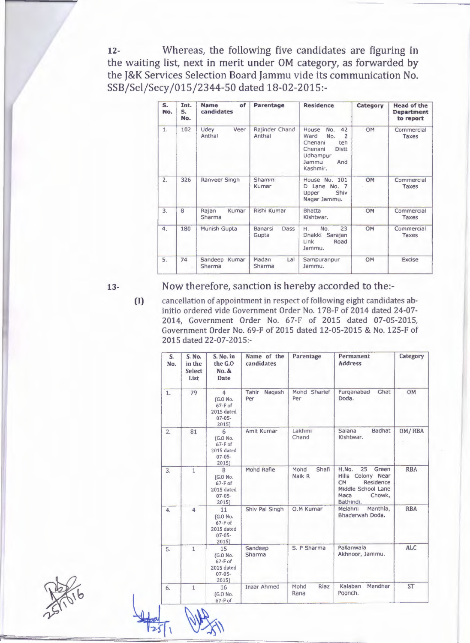12- Whereas, the following five candidates are figuring in the waiting list, next in merit under OM category, as forwarded by the J&K Services Selection Board Jammu vide its communication No. SSB/Sel/Secy /015/2344-50 dated 18-02-2015:-

| S.<br>No. | Int.<br>S.<br>No. | of<br><b>Name</b><br>candidates | Parentage                | <b>Residence</b>                                                                                                                         | Category | <b>Head of the</b><br><b>Department</b><br>to report |
|-----------|-------------------|---------------------------------|--------------------------|------------------------------------------------------------------------------------------------------------------------------------------|----------|------------------------------------------------------|
| 1.        | 102               | Udev<br>Veer<br>Anthal          | Rajinder Chand<br>Anthal | 42<br>House<br>No.<br>$\overline{2}$<br>Ward<br>No.<br>Chenani<br>teh<br><b>Distt</b><br>Chenani<br>Udhampur<br>And<br>Jammu<br>Kashmir. | OM       | Commercial<br>Taxes                                  |
| 2.        | 326               | Ranveer Singh                   | Shammi<br>Kumar          | House No. 101<br>D Lane No. 7<br>Shiv<br>Upper<br>Nagar Jammu.                                                                           | OM       | Commercial<br>Taxes                                  |
| 3.        | 8                 | Rajan<br>Kumar<br>Sharma        | Rishi Kumar              | <b>Bhatta</b><br>Kishtwar.                                                                                                               | OM       | Commercial<br>Taxes                                  |
| 4.        | 180               | Munish Gupta                    | Banarsi<br>Dass<br>Gupta | 23<br>No.<br>Н.<br>Dhakki<br>Sarajan<br>Link<br>Road<br>Jammu.                                                                           | OM       | Commercial<br>Taxes                                  |
| 5.        | 74                | Sandeep<br>Kumar<br>Sharma      | Madan<br>Lal<br>Sharma   | Sampuranpur<br>Jammu.                                                                                                                    | OM       | <b>Excise</b>                                        |

13-

### Now therefore, sanction is hereby accorded to the:-

(I)

 $1251$ 

cancellation of appointment in respect of following eight candidates abinitio ordered vide Government Order No. 178-F of 2014 dated 24-07- 2014, Government Order No. 67-F of 2015 dated 07-05-2015, Government Order No. 69-F of 2015 dated 12-05-2015 & No. 125-F of 2015 dated 22-07-2015:-

| S.<br>No. | S. No.<br>in the<br><b>Select</b><br>List | S. No. in<br>the G.O.<br>No. &<br><b>Date</b>                                | Name of the<br>candidates | Parentage               | Permanent<br><b>Address</b>                                                                                              | Category   |
|-----------|-------------------------------------------|------------------------------------------------------------------------------|---------------------------|-------------------------|--------------------------------------------------------------------------------------------------------------------------|------------|
| 1.        | 79                                        | $\overline{4}$<br>(G.O No.<br>$67-F$ of<br>2015 dated<br>$07 - 05 -$<br>2015 | Tahir<br>Nagash<br>Per    | Mohd Sharief<br>Per     | Furganabad<br>Ghat<br>Doda.                                                                                              | <b>OM</b>  |
| 2.        | 81                                        | 6<br>(G.O No.<br>$67-F$ of<br>2015 dated<br>$07 - 05 -$<br>2015              | Amit Kumar                | Lakhmi<br>Chand         | Badhat<br>Salana<br>Kishtwar.                                                                                            | OM/RBA     |
| 3.        | $\overline{1}$                            | 8<br>(G.O No.<br>$67-F$ of<br>2015 dated<br>$07 - 05 -$<br>2015              | Mohd Rafie                | Mohd<br>Shafi<br>Naik R | 25<br>H.No.<br>Green<br>Hills Colony Near<br>Residence<br><b>CM</b><br>Middle School Lane<br>Chowk,<br>Maca<br>Bathindi. | <b>RBA</b> |
| 4.        | $\overline{\bf{4}}$                       | 11<br>(G.O No.<br>$67-F$ of<br>2015 dated<br>$07 - 05 -$<br>2015)            | Shiv Pal Singh            | O.M Kumar               | Manthla,<br>Melahni<br>Bhaderwah Doda.                                                                                   | <b>RBA</b> |
| 5.        | $\mathbf{1}$                              | 15<br>(G.O No.<br>$67 - F of$<br>2015 dated<br>$07 - 05 -$<br>2015           | Sandeep<br>Sharma         | S. P Sharma             | Pallanwala<br>Akhnoor, Jammu.                                                                                            | <b>ALC</b> |
| 6.        | $\mathbf{1}$                              | 16<br>(G.O No.<br>$67-F$ of                                                  | <b>Inzar Ahmed</b>        | Mohd<br>Riaz<br>Rana    | Mendher<br>Kalaban<br>Poonch.                                                                                            | <b>ST</b>  |

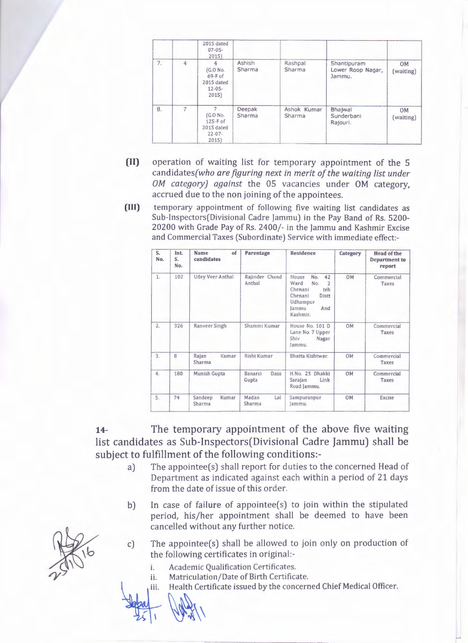|    |   | 2015 dated<br>$07 - 05 -$<br>2015                               |                  |                       |                                            |                        |
|----|---|-----------------------------------------------------------------|------------------|-----------------------|--------------------------------------------|------------------------|
| 7. | 4 | 4<br>(G.O No.<br>$69-F$ of<br>2015 dated<br>$12 - 05 -$<br>2015 | Ashish<br>Sharma | Rashpal<br>Sharma     | Shantipuram<br>Lower Roop Nagar,<br>Jammu. | <b>OM</b><br>(waiting) |
| 8. | 7 | (G.O No.<br>125-F of<br>2015 dated<br>$22 - 07 -$<br>2015       | Deepak<br>Sharma | Ashok Kumar<br>Sharma | Bhajwal<br>Sunderbani<br>Rajouri.          | OM<br>(waiting)        |

- (II) operation of waiting list for temporary appointment of the 5 candidates(who *are figuring next in merit of the waiting list under OM category) against* the 05 vacancies under OM category, accrued due to the non joining of the appointees.
- (III) temporary appointment of following five waiting list candidates as Sub-Inspectors(Divisional Cadre Jammu) in the Pay Band of Rs. 5200-20200 with Grade Pay of Rs. 2400/- in the Jammu and Kashmir Excise and Commercial Taxes (Subordinate) Service with immediate effect:-

| S.<br>No. | Int.<br>S.<br>No. | Name<br>of<br>candidates   | <b>Parentage</b>                | <b>Residence</b>                                                                                                                  | Category  | <b>Head of the</b><br>Department to<br>report |
|-----------|-------------------|----------------------------|---------------------------------|-----------------------------------------------------------------------------------------------------------------------------------|-----------|-----------------------------------------------|
| 1.        | 102               | <b>Udey Veer Anthal</b>    | Rajinder Chand<br>Anthal        | House<br>42<br>No.<br>Ward<br>$\overline{2}$<br>No.<br>Chenani<br>teh<br>Chenani<br>Distt<br>Udhampur<br>And<br>lammu<br>Kashmir. | <b>OM</b> | Commercial<br>Taxes                           |
| 2.        | 326               | Ranveer Singh              | Shammi Kumar                    | House No. 101 D<br>Lane No. 7 Upper<br>Shiv<br>Nagar<br>lammu.                                                                    | <b>OM</b> | Commercial<br>Taxes                           |
| 3.        | 8                 | Rajan<br>Kumar<br>Sharma   | Rishi Kumar                     | Bhatta Kishtwar.                                                                                                                  | <b>OM</b> | Commercial<br>Taxes                           |
| 4.        | 180               | Munish Gupta               | Dass<br><b>Banarsi</b><br>Gupta | H.No. 23 Dhakki<br>Sarajan<br>Link<br>Road Jammu.                                                                                 | <b>OM</b> | Commercial<br>Taxes                           |
| 5.        | 74                | Sandeep<br>Kumar<br>Sharma | Madan<br>Lal<br>Sharma          | Sampuranpur<br>lammu.                                                                                                             | <b>OM</b> | Excise                                        |

14- The temporary appointment of the above five waiting list candidates as Sub-Inspectors(Divisional Cadre Jammu) shall be subject to fulfillment of the following conditions:-

- a) The appointee(s) shall report for duties to the concerned Head of Department as indicated against each within a period of 21 days from the date of issue of this order.
- b) In case of failure of appointee(s) to join within the stipulated period, his/her appointment shall be deemed to have been cancelled without any further notice.
- c) The appointee(s) shall be allowed to join only on production of the following certificates in original:
	- i. Academic Qualification Certificates.
	- ii. Matriculation/Date of Birth Certificate.
- i. Academic Qualification Certificates.<br>
ii. Matriculation/Date of Birth Certificate.<br>
iii. Health Certificate issued by the concerned Chief Medical Officer.